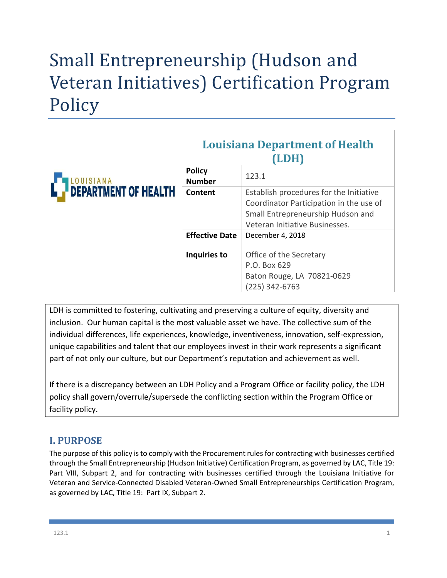# Small Entrepreneurship (Hudson and Veteran Initiatives) Certification Program **Policy**

|                             | <b>Louisiana Department of Health</b><br>(LDH) |                                                                                                                                                           |  |
|-----------------------------|------------------------------------------------|-----------------------------------------------------------------------------------------------------------------------------------------------------------|--|
| LOUISIANA                   | <b>Policy</b><br><b>Number</b>                 | 123.1                                                                                                                                                     |  |
| <b>DEPARTMENT OF HEALTH</b> | Content                                        | Establish procedures for the Initiative<br>Coordinator Participation in the use of<br>Small Entrepreneurship Hudson and<br>Veteran Initiative Businesses. |  |
|                             | <b>Effective Date</b>                          | December 4, 2018                                                                                                                                          |  |
|                             | Inquiries to                                   | Office of the Secretary<br>P.O. Box 629<br>Baton Rouge, LA 70821-0629<br>$(225)$ 342-6763                                                                 |  |

LDH is committed to fostering, cultivating and preserving a culture of equity, diversity and inclusion. Our human capital is the most valuable asset we have. The collective sum of the individual differences, life experiences, knowledge, inventiveness, innovation, self-expression, unique capabilities and talent that our employees invest in their work represents a significant part of not only our culture, but our Department's reputation and achievement as well.

If there is a discrepancy between an LDH Policy and a Program Office or facility policy, the LDH policy shall govern/overrule/supersede the conflicting section within the Program Office or facility policy.

# **I. PURPOSE**

The purpose of this policy is to comply with the Procurement rules for contracting with businesses certified through the Small Entrepreneurship (Hudson Initiative) Certification Program, as governed by LAC, Title 19: Part VIII, Subpart 2, and for contracting with businesses certified through the Louisiana Initiative for Veteran and Service-Connected Disabled Veteran-Owned Small Entrepreneurships Certification Program, as governed by LAC, Title 19: Part IX, Subpart 2.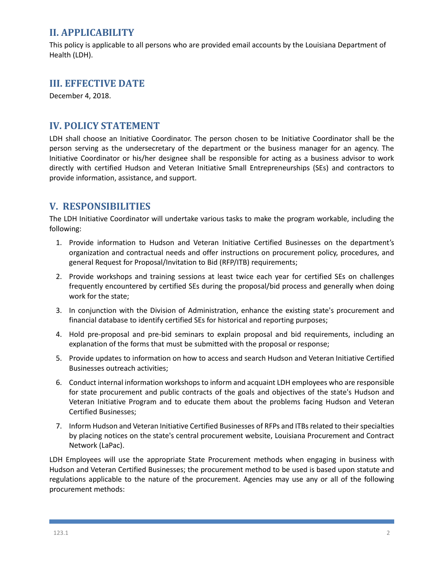## **II. APPLICABILITY**

This policy is applicable to all persons who are provided email accounts by the Louisiana Department of Health (LDH).

#### **III. EFFECTIVE DATE**

December 4, 2018.

#### **IV. POLICY STATEMENT**

LDH shall choose an Initiative Coordinator. The person chosen to be Initiative Coordinator shall be the person serving as the undersecretary of the department or the business manager for an agency. The Initiative Coordinator or his/her designee shall be responsible for acting as a business advisor to work directly with certified Hudson and Veteran Initiative Small Entrepreneurships (SEs) and contractors to provide information, assistance, and support.

### **V. RESPONSIBILITIES**

The LDH Initiative Coordinator will undertake various tasks to make the program workable, including the following:

- 1. Provide information to Hudson and Veteran Initiative Certified Businesses on the department's organization and contractual needs and offer instructions on procurement policy, procedures, and general Request for Proposal/Invitation to Bid (RFP/ITB) requirements;
- 2. Provide workshops and training sessions at least twice each year for certified SEs on challenges frequently encountered by certified SEs during the proposal/bid process and generally when doing work for the state;
- 3. In conjunction with the Division of Administration, enhance the existing state's procurement and financial database to identify certified SEs for historical and reporting purposes;
- 4. Hold pre-proposal and pre-bid seminars to explain proposal and bid requirements, including an explanation of the forms that must be submitted with the proposal or response;
- 5. Provide updates to information on how to access and search Hudson and Veteran Initiative Certified Businesses outreach activities;
- 6. Conduct internal information workshops to inform and acquaint LDH employees who are responsible for state procurement and public contracts of the goals and objectives of the state's Hudson and Veteran Initiative Program and to educate them about the problems facing Hudson and Veteran Certified Businesses;
- 7. Inform Hudson and Veteran Initiative Certified Businesses of RFPs and ITBsrelated to their specialties by placing notices on the state's central procurement website, Louisiana Procurement and Contract Network (LaPac).

LDH Employees will use the appropriate State Procurement methods when engaging in business with Hudson and Veteran Certified Businesses; the procurement method to be used is based upon statute and regulations applicable to the nature of the procurement. Agencies may use any or all of the following procurement methods: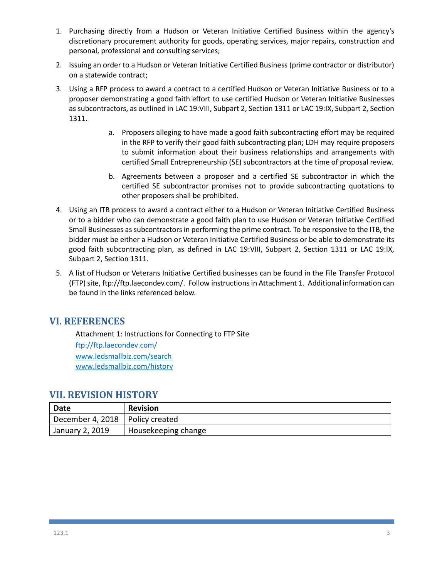- 1. Purchasing directly from a Hudson or Veteran Initiative Certified Business within the agency's discretionary procurement authority for goods, operating services, major repairs, construction and personal, professional and consulting services;
- 2. Issuing an order to a Hudson or Veteran Initiative Certified Business (prime contractor or distributor) on a statewide contract;
- 3. Using a RFP process to award a contract to a certified Hudson or Veteran Initiative Business or to a proposer demonstrating a good faith effort to use certified Hudson or Veteran Initiative Businesses as subcontractors, as outlined in LAC 19:VIII, Subpart 2, Section 1311 or LAC 19:IX, Subpart 2, Section 1311.
	- a. Proposers alleging to have made a good faith subcontracting effort may be required in the RFP to verify their good faith subcontracting plan; LDH may require proposers to submit information about their business relationships and arrangements with certified Small Entrepreneurship (SE) subcontractors at the time of proposal review.
	- b. Agreements between a proposer and a certified SE subcontractor in which the certified SE subcontractor promises not to provide subcontracting quotations to other proposers shall be prohibited.
- 4. Using an ITB process to award a contract either to a Hudson or Veteran Initiative Certified Business or to a bidder who can demonstrate a good faith plan to use Hudson or Veteran Initiative Certified Small Businesses as subcontractors in performing the prime contract. To be responsive to the ITB, the bidder must be either a Hudson or Veteran Initiative Certified Business or be able to demonstrate its good faith subcontracting plan, as defined in LAC 19:VIII, Subpart 2, Section 1311 or LAC 19:IX, Subpart 2, Section 1311.
- 5. A list of Hudson or Veterans Initiative Certified businesses can be found in the File Transfer Protocol (FTP)site, ftp://ftp.laecondev.com/. Follow instructions in Attachment 1. Additional information can be found in the links referenced below.

#### **VI. REFERENCES**

Attachment 1: Instructions for Connecting to FTP Site <ftp://ftp.laecondev.com/> [www.ledsmallbiz.com/search](http://www.ledsmallbiz.com/search) [www.ledsmallbiz.com/history](http://www.ledsmallbiz.com/history)

#### **VII. REVISION HISTORY**

| <b>Date</b>                       | <b>Revision</b>     |
|-----------------------------------|---------------------|
| December 4, 2018   Policy created |                     |
| January 2, 2019                   | Housekeeping change |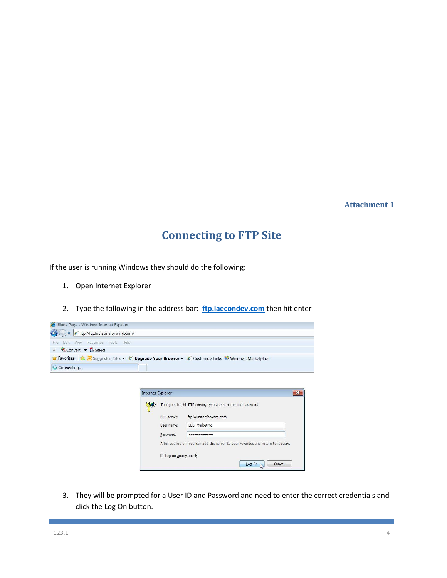#### **Attachment 1**

# **Connecting to FTP Site**

If the user is running Windows they should do the following:

- 1. Open Internet Explorer
- 2. Type the following in the address bar: **[ftp.laecondev.com](ftp://ftp.laecondev.com/)** then hit enter

| e ftp://ftp.louisianaforward.com/         |                                                                                      |
|-------------------------------------------|--------------------------------------------------------------------------------------|
| View Favorites Tools Help<br>Edit<br>File |                                                                                      |
| Convert v <b>De Select</b><br>$\mathbb X$ |                                                                                      |
|                                           | Suggested Sites ▼ 2 Upgrade Your Browser ▼ 2 Customize Links Windows Marketplace     |
| Connecting                                |                                                                                      |
|                                           |                                                                                      |
|                                           | $-23$<br>Internet Explorer                                                           |
|                                           |                                                                                      |
|                                           | To log on to this FTP server, type a user name and password.                         |
|                                           | ftp.louisianaforward.com<br>FTP server:                                              |
|                                           | LED Marketing<br>User name:                                                          |
|                                           | Password:<br>                                                                        |
|                                           | After you log on, you can add this server to your Favorites and return to it easily. |
|                                           | Log on anonymously                                                                   |

3. They will be prompted for a User ID and Password and need to enter the correct credentials and click the Log On button.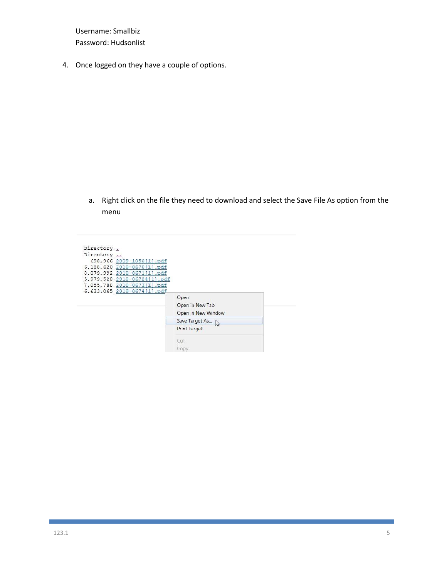Username: Smallbiz Password: Hudsonlist

4. Once logged on they have a couple of options.

a. Right click on the file they need to download and select the Save File As option from the menu

| Directory . |                             |                    |  |
|-------------|-----------------------------|--------------------|--|
| Directory   |                             |                    |  |
|             | 698,966 2009-1050[1].pdf    |                    |  |
|             | 6,188,620 2010-0670[1].pdf  |                    |  |
|             | 8,079,992 2010-0671[1].pdf  |                    |  |
|             | 5,979,528 2010-06724[1].pdf |                    |  |
|             | 7,055,788 2010-0673[1].pdf  |                    |  |
|             | 6,633,065 2010-0674[1].pdf  |                    |  |
|             |                             | Open               |  |
|             |                             | Open in New Tab    |  |
|             |                             | Open in New Window |  |
|             |                             | Save Target As     |  |
|             |                             | Print Target       |  |
|             |                             | Cut                |  |
|             |                             |                    |  |